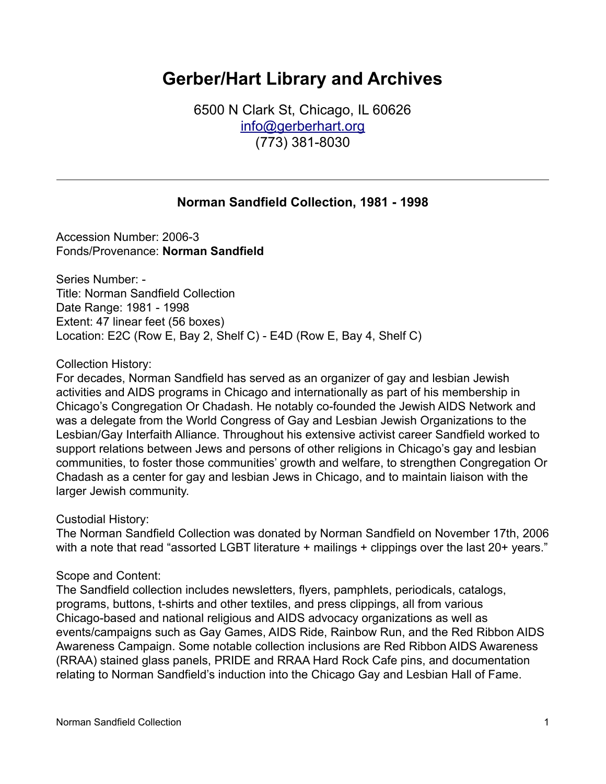# **Gerber/Hart Library and Archives**

6500 N Clark St, Chicago, IL 60626 [info@gerberhart.org](mailto:info@gerberhart.org) (773) 381-8030

## **Norman Sandfield Collection, 1981 - 1998**

Accession Number: 2006-3 Fonds/Provenance: **Norman Sandfield**

Series Number: - Title: Norman Sandfield Collection Date Range: 1981 - 1998 Extent: 47 linear feet (56 boxes) Location: E2C (Row E, Bay 2, Shelf C) - E4D (Row E, Bay 4, Shelf C)

Collection History:

For decades, Norman Sandfield has served as an organizer of gay and lesbian Jewish activities and AIDS programs in Chicago and internationally as part of his membership in Chicago's Congregation Or Chadash. He notably co-founded the Jewish AIDS Network and was a delegate from the World Congress of Gay and Lesbian Jewish Organizations to the Lesbian/Gay Interfaith Alliance. Throughout his extensive activist career Sandfield worked to support relations between Jews and persons of other religions in Chicago's gay and lesbian communities, to foster those communities' growth and welfare, to strengthen Congregation Or Chadash as a center for gay and lesbian Jews in Chicago, and to maintain liaison with the larger Jewish community.

Custodial History:

The Norman Sandfield Collection was donated by Norman Sandfield on November 17th, 2006 with a note that read "assorted LGBT literature + mailings + clippings over the last 20+ years."

Scope and Content:

The Sandfield collection includes newsletters, flyers, pamphlets, periodicals, catalogs, programs, buttons, t-shirts and other textiles, and press clippings, all from various Chicago-based and national religious and AIDS advocacy organizations as well as events/campaigns such as Gay Games, AIDS Ride, Rainbow Run, and the Red Ribbon AIDS Awareness Campaign. Some notable collection inclusions are Red Ribbon AIDS Awareness (RRAA) stained glass panels, PRIDE and RRAA Hard Rock Cafe pins, and documentation relating to Norman Sandfield's induction into the Chicago Gay and Lesbian Hall of Fame.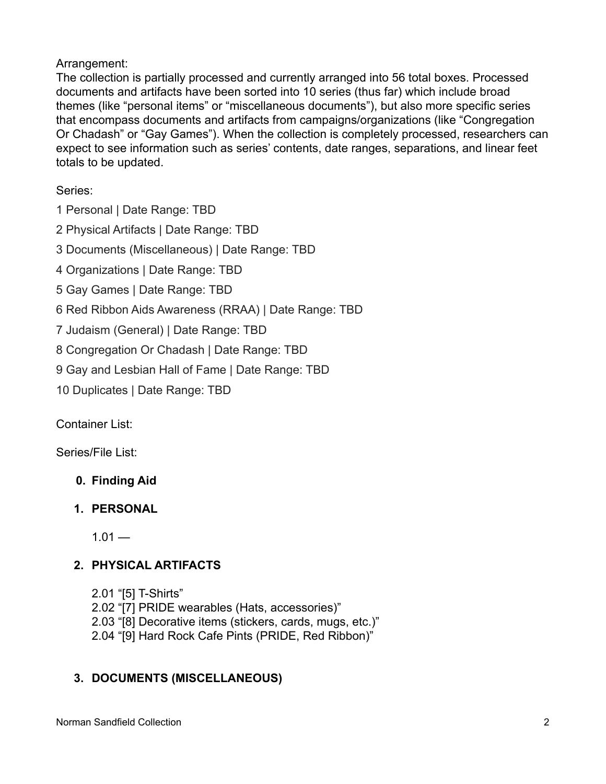## Arrangement:

The collection is partially processed and currently arranged into 56 total boxes. Processed documents and artifacts have been sorted into 10 series (thus far) which include broad themes (like "personal items" or "miscellaneous documents"), but also more specific series that encompass documents and artifacts from campaigns/organizations (like "Congregation Or Chadash" or "Gay Games"). When the collection is completely processed, researchers can expect to see information such as series' contents, date ranges, separations, and linear feet totals to be updated.

Series:

1 Personal | Date Range: TBD

2 Physical Artifacts | Date Range: TBD

3 Documents (Miscellaneous) | Date Range: TBD

4 Organizations | Date Range: TBD

5 Gay Games | Date Range: TBD

- 6 Red Ribbon Aids Awareness (RRAA) | Date Range: TBD
- 7 Judaism (General) | Date Range: TBD

8 Congregation Or Chadash | Date Range: TBD

9 Gay and Lesbian Hall of Fame | Date Range: TBD

10 Duplicates | Date Range: TBD

Container List:

Series/File List:

- **0. Finding Aid**
- **1. PERSONAL**

 $1.01 -$ 

# **2. PHYSICAL ARTIFACTS**

- 2.01 "[5] T-Shirts"
- 2.02 "[7] PRIDE wearables (Hats, accessories)"
- 2.03 "[8] Decorative items (stickers, cards, mugs, etc.)"
- 2.04 "[9] Hard Rock Cafe Pints (PRIDE, Red Ribbon)"

# **3. DOCUMENTS (MISCELLANEOUS)**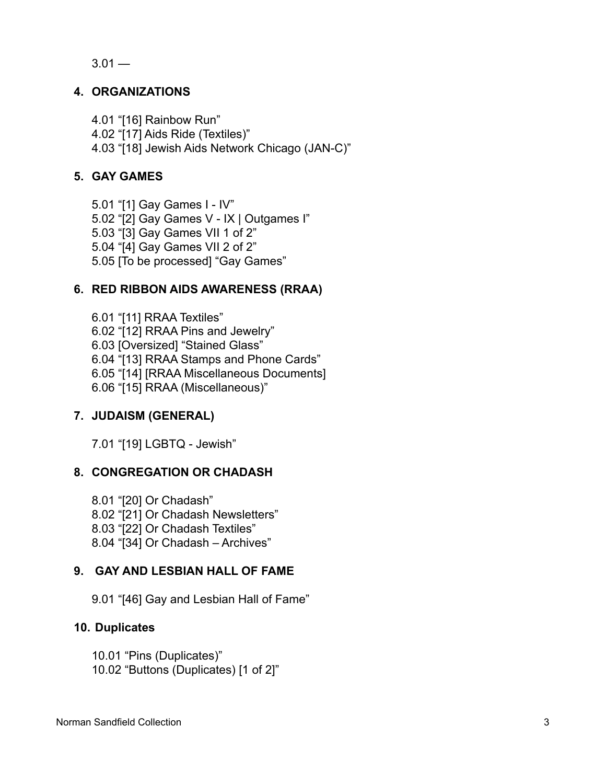$3.01 -$ 

#### **4. ORGANIZATIONS**

4.01 "[16] Rainbow Run"

4.02 "[17] Aids Ride (Textiles)"

4.03 "[18] Jewish Aids Network Chicago (JAN-C)"

#### **5. GAY GAMES**

5.01 "[1] Gay Games I - IV" 5.02 "[2] Gay Games V - IX | Outgames I" 5.03 "[3] Gay Games VII 1 of 2" 5.04 "[4] Gay Games VII 2 of 2" 5.05 [To be processed] "Gay Games"

## **6. RED RIBBON AIDS AWARENESS (RRAA)**

6.01 "[11] RRAA Textiles" 6.02 "[12] RRAA Pins and Jewelry" 6.03 [Oversized] "Stained Glass" 6.04 "[13] RRAA Stamps and Phone Cards" 6.05 "[14] [RRAA Miscellaneous Documents] 6.06 "[15] RRAA (Miscellaneous)"

## **7. JUDAISM (GENERAL)**

7.01 "[19] LGBTQ - Jewish"

#### **8. CONGREGATION OR CHADASH**

8.01 "[20] Or Chadash" 8.02 "[21] Or Chadash Newsletters" 8.03 "[22] Or Chadash Textiles" 8.04 "[34] Or Chadash – Archives"

#### **9. GAY AND LESBIAN HALL OF FAME**

9.01 "[46] Gay and Lesbian Hall of Fame"

#### **10. Duplicates**

10.01 "Pins (Duplicates)" 10.02 "Buttons (Duplicates) [1 of 2]"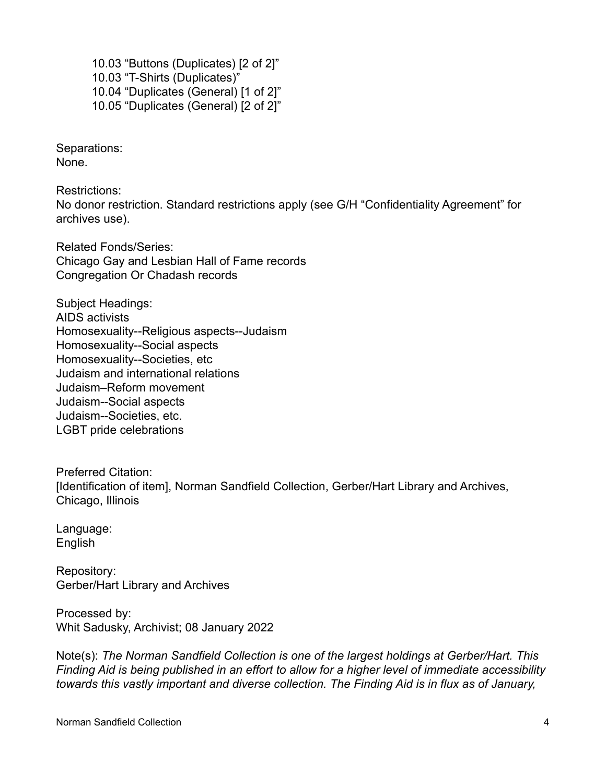10.03 "Buttons (Duplicates) [2 of 2]" 10.03 "T-Shirts (Duplicates)" 10.04 "Duplicates (General) [1 of 2]" 10.05 "Duplicates (General) [2 of 2]"

Separations: None.

Restrictions: No donor restriction. Standard restrictions apply (see G/H "Confidentiality Agreement" for archives use).

Related Fonds/Series: Chicago Gay and Lesbian Hall of Fame records Congregation Or Chadash records

Subject Headings: AIDS activists Homosexuality--Religious aspects--Judaism Homosexuality--Social aspects Homosexuality--Societies, etc Judaism and international relations Judaism–Reform movement Judaism--Social aspects Judaism--Societies, etc. LGBT pride celebrations

Preferred Citation: [Identification of item], Norman Sandfield Collection, Gerber/Hart Library and Archives, Chicago, Illinois

Language: English

Repository: Gerber/Hart Library and Archives

Processed by: Whit Sadusky, Archivist; 08 January 2022

Note(s): *The Norman Sandfield Collection is one of the largest holdings at Gerber/Hart. This Finding Aid is being published in an effort to allow for a higher level of immediate accessibility towards this vastly important and diverse collection. The Finding Aid is in flux as of January,*